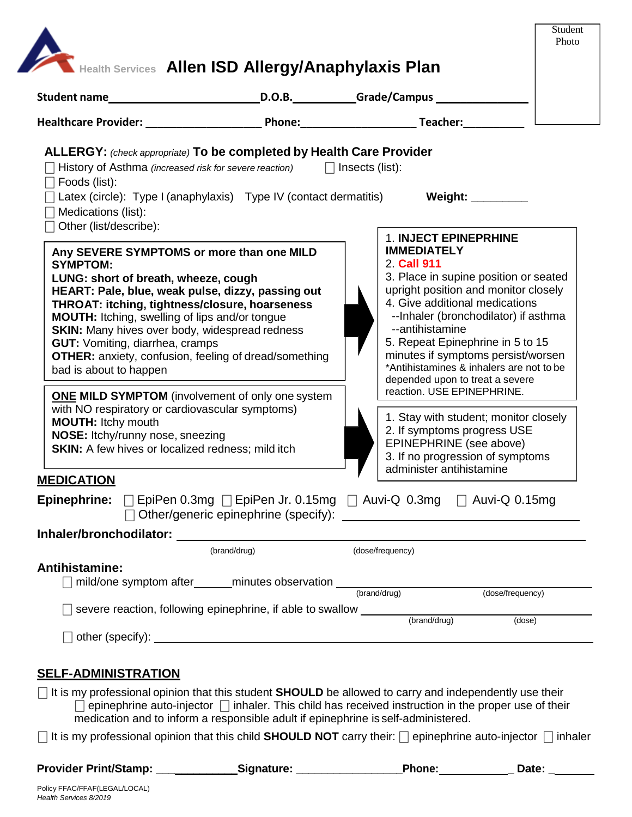|                                                                                                                                                                                                                                                                                                           |                                                                                                                                                                                                                                                                                                                                    |  |                                                                                                                                                                                                                                                                                                                                                                                                   |  | Student<br>Photo |
|-----------------------------------------------------------------------------------------------------------------------------------------------------------------------------------------------------------------------------------------------------------------------------------------------------------|------------------------------------------------------------------------------------------------------------------------------------------------------------------------------------------------------------------------------------------------------------------------------------------------------------------------------------|--|---------------------------------------------------------------------------------------------------------------------------------------------------------------------------------------------------------------------------------------------------------------------------------------------------------------------------------------------------------------------------------------------------|--|------------------|
|                                                                                                                                                                                                                                                                                                           | Health Services Allen ISD Allergy/Anaphylaxis Plan                                                                                                                                                                                                                                                                                 |  |                                                                                                                                                                                                                                                                                                                                                                                                   |  |                  |
| Student name Electron Contract Contract Contract D.O.B. Electron Contract Compus Contract Compus Contract Compus Contract Compus Contract Compus Compus Compus Compus Compus Compus Compus Compus Compus Compus Compus Compus                                                                             |                                                                                                                                                                                                                                                                                                                                    |  |                                                                                                                                                                                                                                                                                                                                                                                                   |  |                  |
|                                                                                                                                                                                                                                                                                                           |                                                                                                                                                                                                                                                                                                                                    |  |                                                                                                                                                                                                                                                                                                                                                                                                   |  |                  |
| ALLERGY: (check appropriate) To be completed by Health Care Provider<br>History of Asthma (increased risk for severe reaction)     Insects (list):<br>Foods (list):<br>Latex (circle): Type I (anaphylaxis) Type IV (contact dermatitis) Weight: _______<br>Medications (list):<br>Other (list/describe): |                                                                                                                                                                                                                                                                                                                                    |  |                                                                                                                                                                                                                                                                                                                                                                                                   |  |                  |
| <b>SYMPTOM:</b><br>LUNG: short of breath, wheeze, cough<br><b>GUT:</b> Vomiting, diarrhea, cramps<br>bad is about to happen                                                                                                                                                                               | Any SEVERE SYMPTOMS or more than one MILD<br>HEART: Pale, blue, weak pulse, dizzy, passing out<br>THROAT: itching, tightness/closure, hoarseness<br><b>MOUTH:</b> Itching, swelling of lips and/or tongue<br><b>SKIN:</b> Many hives over body, widespread redness<br><b>OTHER:</b> anxiety, confusion, feeling of dread/something |  | 1. INJECT EPINEPRHINE<br><b>IMMEDIATELY</b><br>2. Call 911<br>3. Place in supine position or seated<br>upright position and monitor closely<br>4. Give additional medications<br>--Inhaler (bronchodilator) if asthma<br>--antihistamine<br>5. Repeat Epinephrine in 5 to 15<br>minutes if symptoms persist/worsen<br>*Antihistamines & inhalers are not to be<br>depended upon to treat a severe |  |                  |
| <b>ONE MILD SYMPTOM</b> (involvement of only one system<br>with NO respiratory or cardiovascular symptoms)<br><b>MOUTH:</b> Itchy mouth<br>NOSE: Itchy/runny nose, sneezing<br><b>SKIN:</b> A few hives or localized redness; mild itch                                                                   |                                                                                                                                                                                                                                                                                                                                    |  | reaction. USE EPINEPHRINE.<br>1. Stay with student; monitor closely<br>2. If symptoms progress USE<br>EPINEPHRINE (see above)<br>3. If no progression of symptoms<br>administer antihistamine                                                                                                                                                                                                     |  |                  |
| <b>MEDICATION</b>                                                                                                                                                                                                                                                                                         |                                                                                                                                                                                                                                                                                                                                    |  |                                                                                                                                                                                                                                                                                                                                                                                                   |  |                  |
| <b>Epinephrine:</b> $\Box$ EpiPen 0.3mg $\Box$ EpiPen Jr. 0.15mg $\Box$ Auvi-Q 0.3mg $\Box$ Auvi-Q 0.15mg                                                                                                                                                                                                 |                                                                                                                                                                                                                                                                                                                                    |  |                                                                                                                                                                                                                                                                                                                                                                                                   |  |                  |
|                                                                                                                                                                                                                                                                                                           |                                                                                                                                                                                                                                                                                                                                    |  |                                                                                                                                                                                                                                                                                                                                                                                                   |  |                  |
| <b>Antihistamine:</b>                                                                                                                                                                                                                                                                                     | (brand/drug)                                                                                                                                                                                                                                                                                                                       |  | (dose/frequency)                                                                                                                                                                                                                                                                                                                                                                                  |  |                  |
|                                                                                                                                                                                                                                                                                                           |                                                                                                                                                                                                                                                                                                                                    |  |                                                                                                                                                                                                                                                                                                                                                                                                   |  |                  |
|                                                                                                                                                                                                                                                                                                           |                                                                                                                                                                                                                                                                                                                                    |  |                                                                                                                                                                                                                                                                                                                                                                                                   |  |                  |
| <b>SELF-ADMINISTRATION</b><br>$\Box$ It is my professional opinion that this student SHOULD be allowed to carry and independently use their                                                                                                                                                               | epinephrine auto-injector $\Box$ inhaler. This child has received instruction in the proper use of their<br>medication and to inform a responsible adult if epinephrine is self-administered.                                                                                                                                      |  |                                                                                                                                                                                                                                                                                                                                                                                                   |  |                  |
| It is my professional opinion that this child <b>SHOULD NOT</b> carry their: $\Box$ epinephrine auto-injector $\Box$ inhaler                                                                                                                                                                              |                                                                                                                                                                                                                                                                                                                                    |  |                                                                                                                                                                                                                                                                                                                                                                                                   |  |                  |
|                                                                                                                                                                                                                                                                                                           |                                                                                                                                                                                                                                                                                                                                    |  |                                                                                                                                                                                                                                                                                                                                                                                                   |  |                  |